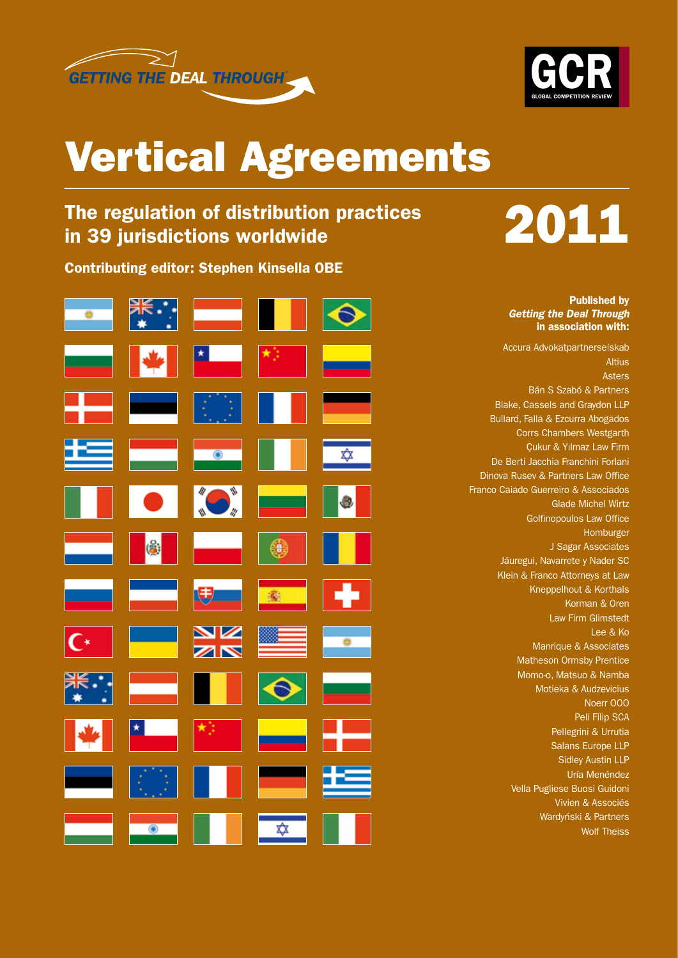



### Vertical Agreements

# The regulation of distribution practices<br>in 39 jurisdictions worldwide **2011**

Contributing editor: Stephen Kinsella OBE



Published by *Getting the Deal Through* in association with:

Accura Advokatpartnerselskab

Altius Asters Bán S Szabó & Partners Blake, Cassels and Graydon LLP Bullard, Falla & Ezcurra Abogados Corrs Chambers Westgarth Çukur & Yılmaz Law Firm De Berti Jacchia Franchini Forlani Dinova Rusev & Partners Law Office Franco Caiado Guerreiro & Associados Glade Michel Wirtz Golfinopoulos Law Office Homburger J Sagar Associates Jáuregui, Navarrete y Nader SC Klein & Franco Attorneys at Law Kneppelhout & Korthals Korman & Oren Law Firm Glimstedt Lee & Ko Manrique & Associates Matheson Ormsby Prentice Momo-o, Matsuo & Namba Motieka & Audzevicius Noerr OOO Peli Filip SCA Pellegrini & Urrutia Salans Europe LLP Sidley Austin LLP Uría Menéndez Vella Pugliese Buosi Guidoni Vivien & Associés Wardyński & Partners Wolf Theiss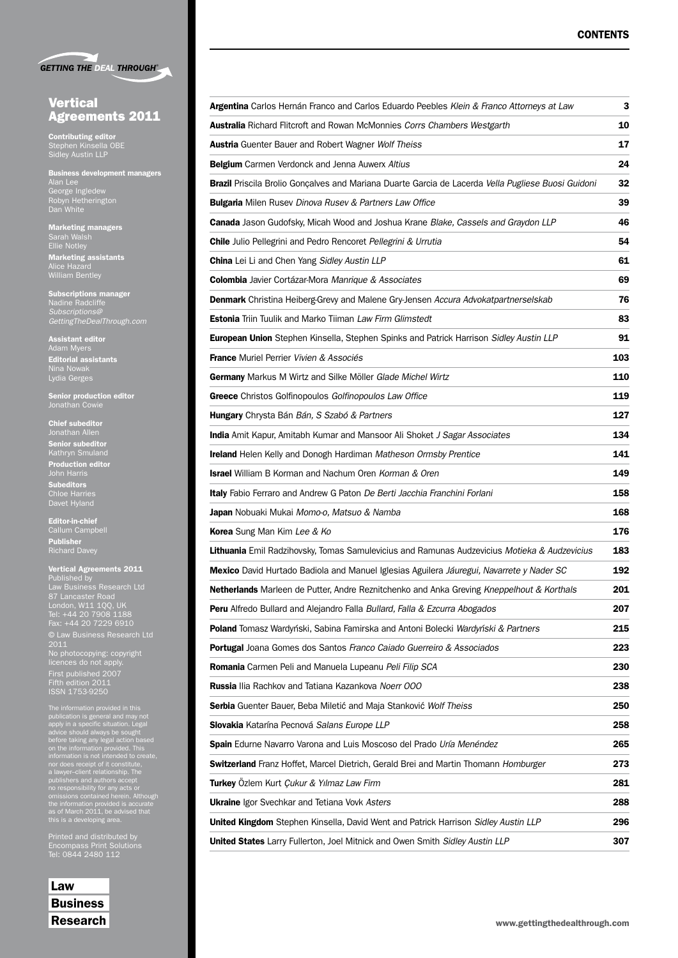|  | <b>GETTING THE DEAL THROUGH®</b> |
|--|----------------------------------|

#### **Vertical** Agreements 2011

Contributing editor Stephen Kinsella OBE Sidley Austin LLP

Business development managers Alan Lee George Ingledew Robyn Hetherington Dan White

Marketing managers Sarah Walsh Ellie Notley Marketing assistants William Bentley

Subscriptions manager Nadine Radcliffe *Subscriptions@ GettingTheDealThrough.com*

Assistant editor Adam Myers<br>**Editorial assistants** Lydia Gerges

Senior production editor Jonathan Cowie

**Chief subeditor**<br>Jonathan Allen Jonathan Allen Senior subeditor Kathryn Smuland Production editor

**Subeditors** Chloe Harries Davet Hyland

Editor-in-chief Callum Campbell Publisher Richard Davey

Vertical Agreements 2011 Published by Law Business Research Ltd 87 Lancaster Road London, W11 1QQ, UK Tel: +44 20 7908 1188 Fax: +44 20 7229 6910 2011 No photocopying: copyright licences do not apply. First published 2007 Fifth edition 2011 ISSN 1753-9250

The information provided in this<br>publication is general and may not<br>publication is general and may not<br>apply in a specific situation. Legal<br>before taking any legal action based<br>on the information provided. This<br>information

Printed and distributed by Encompass Print Solutions Tel: 0844 2480 112

Law **Business** Research

| Argentina Carlos Hernán Franco and Carlos Eduardo Peebles Klein & Franco Attorneys at Law          |     |  |
|----------------------------------------------------------------------------------------------------|-----|--|
| <b>Australia</b> Richard Flitcroft and Rowan McMonnies Corrs Chambers Westgarth                    |     |  |
| <b>Austria</b> Guenter Bauer and Robert Wagner Wolf Theiss                                         | 17  |  |
| <b>Belgium</b> Carmen Verdonck and Jenna Auwerx Altius                                             | 24  |  |
| Brazil Priscila Brolio Gonçalves and Mariana Duarte Garcia de Lacerda Vella Pugliese Buosi Guidoni | 32  |  |
| <b>Bulgaria</b> Milen Rusev Dinova Rusev & Partners Law Office                                     | 39  |  |
| Canada Jason Gudofsky, Micah Wood and Joshua Krane Blake, Cassels and Graydon LLP                  | 46  |  |
| Chile Julio Pellegrini and Pedro Rencoret Pellegrini & Urrutia                                     | 54  |  |
| <b>China</b> Lei Li and Chen Yang Sidley Austin LLP                                                | 61  |  |
| <b>Colombia</b> Javier Cortázar-Mora Manrique & Associates                                         | 69  |  |
| <b>Denmark</b> Christina Heiberg-Grevy and Malene Gry-Jensen Accura Advokatpartnerselskab          | 76  |  |
| <b>Estonia</b> Triin Tuulik and Marko Tiiman Law Firm Glimstedt                                    | 83  |  |
| European Union Stephen Kinsella, Stephen Spinks and Patrick Harrison Sidley Austin LLP             | 91  |  |
| <b>France</b> Muriel Perrier Vivien & Associés                                                     | 103 |  |
| Germany Markus M Wirtz and Silke Möller Glade Michel Wirtz                                         | 110 |  |
| Greece Christos Golfinopoulos Golfinopoulos Law Office                                             | 119 |  |
| Hungary Chrysta Bán Bán, S Szabó & Partners                                                        | 127 |  |
| <b>India</b> Amit Kapur, Amitabh Kumar and Mansoor Ali Shoket J Sagar Associates                   | 134 |  |
| Ireland Helen Kelly and Donogh Hardiman Matheson Ormsby Prentice                                   | 141 |  |
| <b>Israel</b> William B Korman and Nachum Oren Korman & Oren                                       | 149 |  |
| <b>Italy</b> Fabio Ferraro and Andrew G Paton De Berti Jacchia Franchini Forlani                   | 158 |  |
| <b>Japan</b> Nobuaki Mukai <i>Momo-o, Matsuo &amp; Namba</i>                                       | 168 |  |
| Korea Sung Man Kim Lee & Ko                                                                        | 176 |  |
| Lithuania Emil Radzihovsky, Tomas Samulevicius and Ramunas Audzevicius Motieka & Audzevicius       | 183 |  |
| Mexico David Hurtado Badiola and Manuel Iglesias Aguilera Jáuregui, Navarrete y Nader SC           | 192 |  |
| Netherlands Marleen de Putter, Andre Reznitchenko and Anka Greving Kneppelhout & Korthals          | 201 |  |
| Peru Alfredo Bullard and Alejandro Falla Bullard, Falla & Ezcurra Abogados                         | 207 |  |
| <b>Poland</b> Tomasz Wardyński, Sabina Famirska and Antoni Bolecki <i>Wardyński &amp; Partners</i> | 215 |  |
| <b>Portugal</b> Joana Gomes dos Santos Franco Caiado Guerreiro & Associados                        | 223 |  |
| <b>Romania</b> Carmen Peli and Manuela Lupeanu Peli Filip SCA                                      | 230 |  |
| Russia Ilia Rachkov and Tatiana Kazankova Noerr 000                                                | 238 |  |
| Serbia Guenter Bauer, Beba Miletić and Maja Stanković Wolf Theiss                                  | 250 |  |
| Slovakia Katarína Pecnová Salans Europe LLP                                                        | 258 |  |
| Spain Edurne Navarro Varona and Luis Moscoso del Prado Uría Menéndez                               | 265 |  |
| Switzerland Franz Hoffet, Marcel Dietrich, Gerald Brei and Martin Thomann Homburger                | 273 |  |
| Turkey Özlem Kurt Çukur & Yılmaz Law Firm                                                          | 281 |  |
| <b>Ukraine</b> Igor Svechkar and Tetiana Vovk Asters                                               | 288 |  |
| United Kingdom Stephen Kinsella, David Went and Patrick Harrison Sidley Austin LLP                 |     |  |
| United States Larry Fullerton, Joel Mitnick and Owen Smith Sidley Austin LLP                       | 307 |  |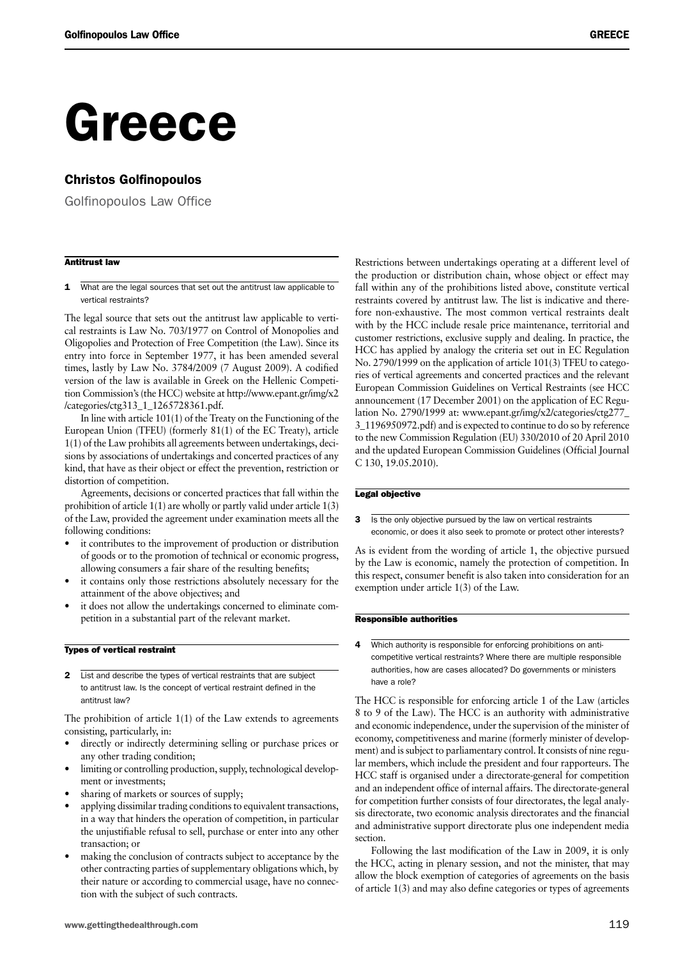## Greece

#### Christos Golfinopoulos

Golfinopoulos Law Office

#### Antitrust law

1 What are the legal sources that set out the antitrust law applicable to vertical restraints?

The legal source that sets out the antitrust law applicable to vertical restraints is Law No. 703/1977 on Control of Monopolies and Oligopolies and Protection of Free Competition (the Law). Since its entry into force in September 1977, it has been amended several times, lastly by Law No. 3784/2009 (7 August 2009). A codified version of the law is available in Greek on the Hellenic Competition Commission's (the HCC) website at http://www.epant.gr/img/x2 /categories/ctg313\_1\_1265728361.pdf.

In line with article 101(1) of the Treaty on the Functioning of the European Union (TFEU) (formerly 81(1) of the EC Treaty), article 1(1) of the Law prohibits all agreements between undertakings, decisions by associations of undertakings and concerted practices of any kind, that have as their object or effect the prevention, restriction or distortion of competition.

Agreements, decisions or concerted practices that fall within the prohibition of article 1(1) are wholly or partly valid under article 1(3) of the Law, provided the agreement under examination meets all the following conditions:

- it contributes to the improvement of production or distribution of goods or to the promotion of technical or economic progress, allowing consumers a fair share of the resulting benefits;
- it contains only those restrictions absolutely necessary for the attainment of the above objectives; and
- it does not allow the undertakings concerned to eliminate competition in a substantial part of the relevant market.

#### Types of vertical restraint

2 List and describe the types of vertical restraints that are subject to antitrust law. Is the concept of vertical restraint defined in the antitrust law?

The prohibition of article  $1(1)$  of the Law extends to agreements consisting, particularly, in:

- directly or indirectly determining selling or purchase prices or any other trading condition;
- limiting or controlling production, supply, technological development or investments;
- sharing of markets or sources of supply;
- applying dissimilar trading conditions to equivalent transactions, in a way that hinders the operation of competition, in particular the unjustifiable refusal to sell, purchase or enter into any other transaction; or
- making the conclusion of contracts subject to acceptance by the other contracting parties of supplementary obligations which, by their nature or according to commercial usage, have no connection with the subject of such contracts.

Restrictions between undertakings operating at a different level of the production or distribution chain, whose object or effect may fall within any of the prohibitions listed above, constitute vertical restraints covered by antitrust law. The list is indicative and therefore non-exhaustive. The most common vertical restraints dealt with by the HCC include resale price maintenance, territorial and customer restrictions, exclusive supply and dealing. In practice, the HCC has applied by analogy the criteria set out in EC Regulation No. 2790/1999 on the application of article 101(3) TFEU to categories of vertical agreements and concerted practices and the relevant European Commission Guidelines on Vertical Restraints (see HCC announcement (17 December 2001) on the application of EC Regulation No. 2790/1999 at: www.epant.gr/img/x2/categories/ctg277\_ 3\_1196950972.pdf) and is expected to continue to do so by reference to the new Commission Regulation (EU) 330/2010 of 20 April 2010 and the updated European Commission Guidelines (Official Journal C 130, 19.05.2010).

#### Legal objective

3 Is the only objective pursued by the law on vertical restraints economic, or does it also seek to promote or protect other interests?

As is evident from the wording of article 1, the objective pursued by the Law is economic, namely the protection of competition. In this respect, consumer benefit is also taken into consideration for an exemption under article 1(3) of the Law.

#### Responsible authorities

4 Which authority is responsible for enforcing prohibitions on anticompetitive vertical restraints? Where there are multiple responsible authorities, how are cases allocated? Do governments or ministers have a role?

The HCC is responsible for enforcing article 1 of the Law (articles 8 to 9 of the Law). The HCC is an authority with administrative and economic independence, under the supervision of the minister of economy, competitiveness and marine (formerly minister of development) and is subject to parliamentary control. It consists of nine regular members, which include the president and four rapporteurs. The HCC staff is organised under a directorate-general for competition and an independent office of internal affairs. The directorate-general for competition further consists of four directorates, the legal analysis directorate, two economic analysis directorates and the financial and administrative support directorate plus one independent media section.

Following the last modification of the Law in 2009, it is only the HCC, acting in plenary session, and not the minister, that may allow the block exemption of categories of agreements on the basis of article 1(3) and may also define categories or types of agreements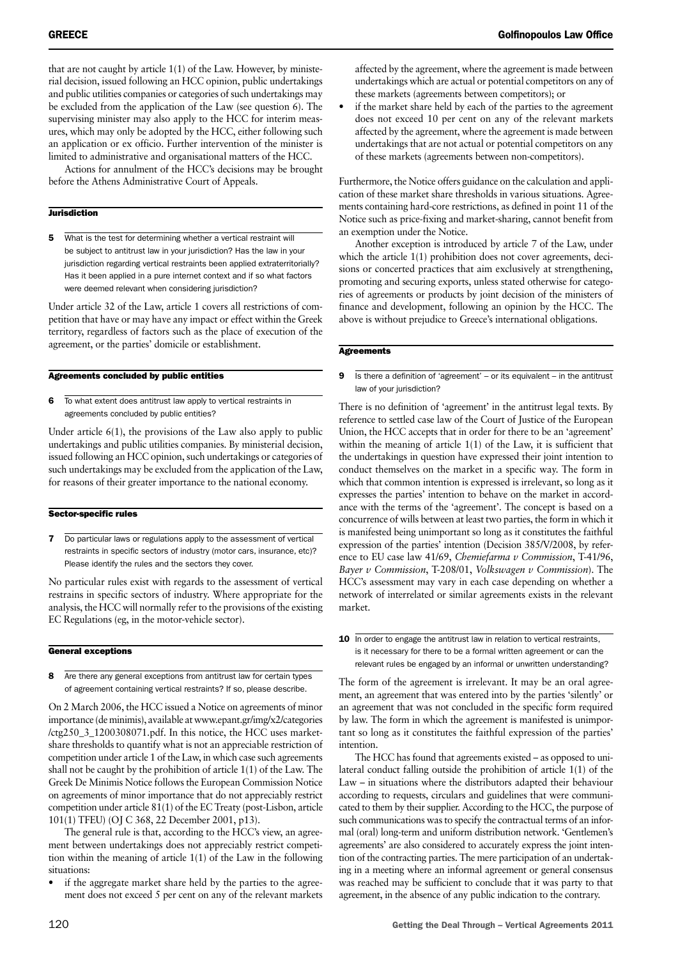that are not caught by article 1(1) of the Law. However, by ministerial decision, issued following an HCC opinion, public undertakings and public utilities companies or categories of such undertakings may be excluded from the application of the Law (see question 6). The supervising minister may also apply to the HCC for interim measures, which may only be adopted by the HCC, either following such an application or ex officio. Further intervention of the minister is limited to administrative and organisational matters of the HCC.

Actions for annulment of the HCC's decisions may be brought before the Athens Administrative Court of Appeals.

#### **Jurisdiction**

5 What is the test for determining whether a vertical restraint will be subject to antitrust law in your jurisdiction? Has the law in your jurisdiction regarding vertical restraints been applied extraterritorially? Has it been applied in a pure internet context and if so what factors were deemed relevant when considering jurisdiction?

Under article 32 of the Law, article 1 covers all restrictions of competition that have or may have any impact or effect within the Greek territory, regardless of factors such as the place of execution of the agreement, or the parties' domicile or establishment.

#### Agreements concluded by public entities

6 To what extent does antitrust law apply to vertical restraints in agreements concluded by public entities?

Under article 6(1), the provisions of the Law also apply to public undertakings and public utilities companies. By ministerial decision, issued following an HCC opinion, such undertakings or categories of such undertakings may be excluded from the application of the Law, for reasons of their greater importance to the national economy.

#### Sector-specific rules

**7** Do particular laws or regulations apply to the assessment of vertical restraints in specific sectors of industry (motor cars, insurance, etc)? Please identify the rules and the sectors they cover.

No particular rules exist with regards to the assessment of vertical restrains in specific sectors of industry. Where appropriate for the analysis, the HCC will normally refer to the provisions of the existing EC Regulations (eg, in the motor-vehicle sector).

#### General exceptions

8 Are there any general exceptions from antitrust law for certain types of agreement containing vertical restraints? If so, please describe.

On 2 March 2006, the HCC issued a Notice on agreements of minor importance (de minimis), available at www.epant.gr/img/x2/categories /ctg250\_3\_1200308071.pdf. In this notice, the HCC uses marketshare thresholds to quantify what is not an appreciable restriction of competition under article 1 of the Law, in which case such agreements shall not be caught by the prohibition of article 1(1) of the Law. The Greek De Minimis Notice follows the European Commission Notice on agreements of minor importance that do not appreciably restrict competition under article 81(1) of the EC Treaty (post-Lisbon, article 101(1) TFEU) (OJ C 368, 22 December 2001, p13).

The general rule is that, according to the HCC's view, an agreement between undertakings does not appreciably restrict competition within the meaning of article 1(1) of the Law in the following situations:

if the aggregate market share held by the parties to the agreement does not exceed 5 per cent on any of the relevant markets if the market share held by each of the parties to the agreement does not exceed 10 per cent on any of the relevant markets affected by the agreement, where the agreement is made between undertakings that are not actual or potential competitors on any of these markets (agreements between non-competitors).

Furthermore, the Notice offers guidance on the calculation and application of these market share thresholds in various situations. Agreements containing hard-core restrictions, as defined in point 11 of the Notice such as price-fixing and market-sharing, cannot benefit from an exemption under the Notice.

Another exception is introduced by article 7 of the Law, under which the article 1(1) prohibition does not cover agreements, decisions or concerted practices that aim exclusively at strengthening, promoting and securing exports, unless stated otherwise for categories of agreements or products by joint decision of the ministers of finance and development, following an opinion by the HCC. The above is without prejudice to Greece's international obligations.

#### **Agreements**

**9** Is there a definition of 'agreement' – or its equivalent – in the antitrust law of your jurisdiction?

There is no definition of 'agreement' in the antitrust legal texts. By reference to settled case law of the Court of Justice of the European Union, the HCC accepts that in order for there to be an 'agreement' within the meaning of article 1(1) of the Law, it is sufficient that the undertakings in question have expressed their joint intention to conduct themselves on the market in a specific way. The form in which that common intention is expressed is irrelevant, so long as it expresses the parties' intention to behave on the market in accordance with the terms of the 'agreement'. The concept is based on a concurrence of wills between at least two parties, the form in which it is manifested being unimportant so long as it constitutes the faithful expression of the parties' intention (Decision 385/V/2008, by reference to EU case law 41/69, *Chemiefarma v Commission*, T-41/96, *Bayer v Commission*, T-208/01, *Volkswagen v Commission*). The HCC's assessment may vary in each case depending on whether a network of interrelated or similar agreements exists in the relevant market.

10 In order to engage the antitrust law in relation to vertical restraints, is it necessary for there to be a formal written agreement or can the relevant rules be engaged by an informal or unwritten understanding?

The form of the agreement is irrelevant. It may be an oral agreement, an agreement that was entered into by the parties 'silently' or an agreement that was not concluded in the specific form required by law. The form in which the agreement is manifested is unimportant so long as it constitutes the faithful expression of the parties' intention.

The HCC has found that agreements existed – as opposed to unilateral conduct falling outside the prohibition of article 1(1) of the Law – in situations where the distributors adapted their behaviour according to requests, circulars and guidelines that were communicated to them by their supplier. According to the HCC, the purpose of such communications was to specify the contractual terms of an informal (oral) long-term and uniform distribution network. 'Gentlemen's agreements' are also considered to accurately express the joint intention of the contracting parties. The mere participation of an undertaking in a meeting where an informal agreement or general consensus was reached may be sufficient to conclude that it was party to that agreement, in the absence of any public indication to the contrary.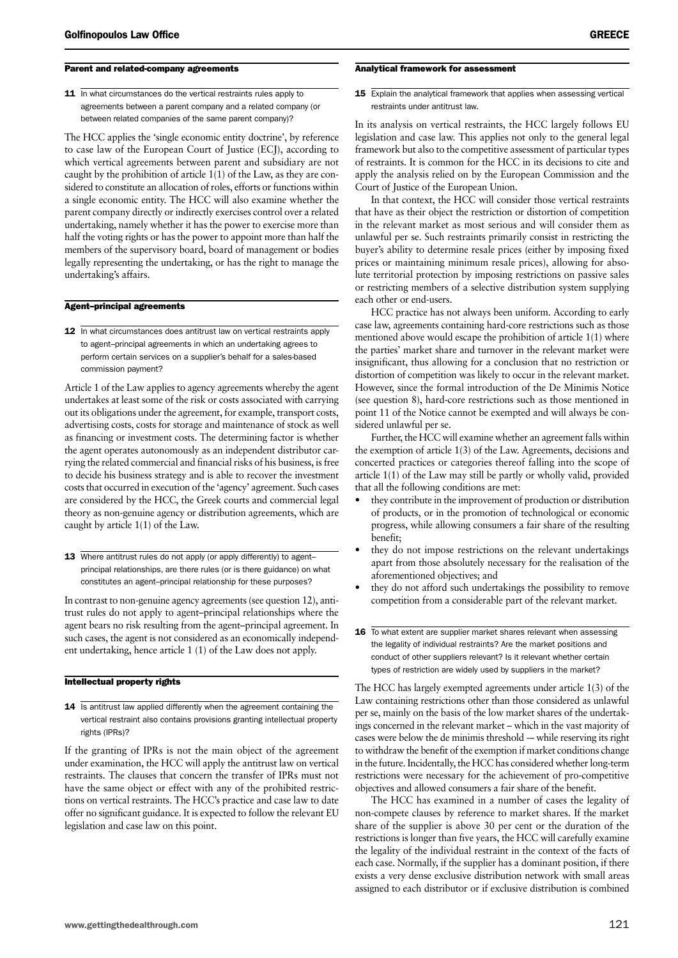#### Parent and related-company agreements

11 In what circumstances do the vertical restraints rules apply to agreements between a parent company and a related company (or between related companies of the same parent company)?

The HCC applies the 'single economic entity doctrine', by reference to case law of the European Court of Justice (ECJ), according to which vertical agreements between parent and subsidiary are not caught by the prohibition of article 1(1) of the Law, as they are considered to constitute an allocation of roles, efforts or functions within a single economic entity. The HCC will also examine whether the parent company directly or indirectly exercises control over a related undertaking, namely whether it has the power to exercise more than half the voting rights or has the power to appoint more than half the members of the supervisory board, board of management or bodies legally representing the undertaking, or has the right to manage the undertaking's affairs.

#### Agent–principal agreements

12 In what circumstances does antitrust law on vertical restraints apply to agent–principal agreements in which an undertaking agrees to perform certain services on a supplier's behalf for a sales-based commission payment?

Article 1 of the Law applies to agency agreements whereby the agent undertakes at least some of the risk or costs associated with carrying out its obligations under the agreement, for example, transport costs, advertising costs, costs for storage and maintenance of stock as well as financing or investment costs. The determining factor is whether the agent operates autonomously as an independent distributor carrying the related commercial and financial risks of his business, is free to decide his business strategy and is able to recover the investment costs that occurred in execution of the 'agency' agreement. Such cases are considered by the HCC, the Greek courts and commercial legal theory as non-genuine agency or distribution agreements, which are caught by article 1(1) of the Law.

13 Where antitrust rules do not apply (or apply differently) to agent– principal relationships, are there rules (or is there guidance) on what constitutes an agent–principal relationship for these purposes?

In contrast to non-genuine agency agreements (see question 12), antitrust rules do not apply to agent–principal relationships where the agent bears no risk resulting from the agent–principal agreement. In such cases, the agent is not considered as an economically independent undertaking, hence article 1 (1) of the Law does not apply.

#### Intellectual property rights

14 Is antitrust law applied differently when the agreement containing the vertical restraint also contains provisions granting intellectual property rights (IPRs)?

If the granting of IPRs is not the main object of the agreement under examination, the HCC will apply the antitrust law on vertical restraints. The clauses that concern the transfer of IPRs must not have the same object or effect with any of the prohibited restrictions on vertical restraints. The HCC's practice and case law to date offer no significant guidance. It is expected to follow the relevant EU legislation and case law on this point.

#### Analytical framework for assessment

15 Explain the analytical framework that applies when assessing vertical restraints under antitrust law.

In its analysis on vertical restraints, the HCC largely follows EU legislation and case law. This applies not only to the general legal framework but also to the competitive assessment of particular types of restraints. It is common for the HCC in its decisions to cite and apply the analysis relied on by the European Commission and the Court of Justice of the European Union.

In that context, the HCC will consider those vertical restraints that have as their object the restriction or distortion of competition in the relevant market as most serious and will consider them as unlawful per se. Such restraints primarily consist in restricting the buyer's ability to determine resale prices (either by imposing fixed prices or maintaining minimum resale prices), allowing for absolute territorial protection by imposing restrictions on passive sales or restricting members of a selective distribution system supplying each other or end-users.

HCC practice has not always been uniform. According to early case law, agreements containing hard-core restrictions such as those mentioned above would escape the prohibition of article 1(1) where the parties' market share and turnover in the relevant market were insignificant, thus allowing for a conclusion that no restriction or distortion of competition was likely to occur in the relevant market. However, since the formal introduction of the De Minimis Notice (see question 8), hard-core restrictions such as those mentioned in point 11 of the Notice cannot be exempted and will always be considered unlawful per se.

Further, the HCC will examine whether an agreement falls within the exemption of article 1(3) of the Law. Agreements, decisions and concerted practices or categories thereof falling into the scope of article 1(1) of the Law may still be partly or wholly valid, provided that all the following conditions are met:

- they contribute in the improvement of production or distribution of products, or in the promotion of technological or economic progress, while allowing consumers a fair share of the resulting benefit;
- they do not impose restrictions on the relevant undertakings apart from those absolutely necessary for the realisation of the aforementioned objectives; and
- they do not afford such undertakings the possibility to remove competition from a considerable part of the relevant market.
- 16 To what extent are supplier market shares relevant when assessing the legality of individual restraints? Are the market positions and conduct of other suppliers relevant? Is it relevant whether certain types of restriction are widely used by suppliers in the market?

The HCC has largely exempted agreements under article 1(3) of the Law containing restrictions other than those considered as unlawful per se, mainly on the basis of the low market shares of the undertakings concerned in the relevant market – which in the vast majority of cases were below the de minimis threshold — while reserving its right to withdraw the benefit of the exemption if market conditions change in the future. Incidentally, the HCC has considered whether long-term restrictions were necessary for the achievement of pro-competitive objectives and allowed consumers a fair share of the benefit.

The HCC has examined in a number of cases the legality of non-compete clauses by reference to market shares. If the market share of the supplier is above 30 per cent or the duration of the restrictions is longer than five years, the HCC will carefully examine the legality of the individual restraint in the context of the facts of each case. Normally, if the supplier has a dominant position, if there exists a very dense exclusive distribution network with small areas assigned to each distributor or if exclusive distribution is combined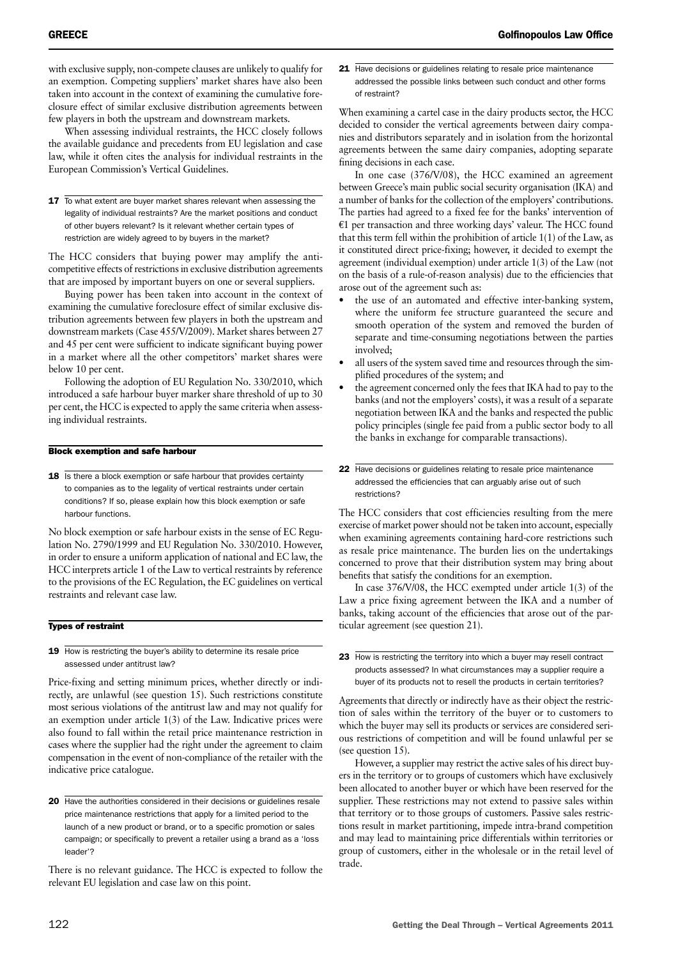with exclusive supply, non-compete clauses are unlikely to qualify for an exemption. Competing suppliers' market shares have also been taken into account in the context of examining the cumulative foreclosure effect of similar exclusive distribution agreements between few players in both the upstream and downstream markets.

When assessing individual restraints, the HCC closely follows the available guidance and precedents from EU legislation and case law, while it often cites the analysis for individual restraints in the European Commission's Vertical Guidelines.

17 To what extent are buyer market shares relevant when assessing the legality of individual restraints? Are the market positions and conduct of other buyers relevant? Is it relevant whether certain types of restriction are widely agreed to by buyers in the market?

The HCC considers that buying power may amplify the anticompetitive effects of restrictions in exclusive distribution agreements that are imposed by important buyers on one or several suppliers.

Buying power has been taken into account in the context of examining the cumulative foreclosure effect of similar exclusive distribution agreements between few players in both the upstream and downstream markets (Case 455/V/2009). Market shares between 27 and 45 per cent were sufficient to indicate significant buying power in a market where all the other competitors' market shares were below 10 per cent.

Following the adoption of EU Regulation No. 330/2010, which introduced a safe harbour buyer marker share threshold of up to 30 per cent, the HCC is expected to apply the same criteria when assessing individual restraints.

#### Block exemption and safe harbour

18 Is there a block exemption or safe harbour that provides certainty to companies as to the legality of vertical restraints under certain conditions? If so, please explain how this block exemption or safe harbour functions.

No block exemption or safe harbour exists in the sense of EC Regulation No. 2790/1999 and EU Regulation No. 330/2010. However, in order to ensure a uniform application of national and EC law, the HCC interprets article 1 of the Law to vertical restraints by reference to the provisions of the EC Regulation, the EC guidelines on vertical restraints and relevant case law.

#### Types of restraint

19 How is restricting the buyer's ability to determine its resale price assessed under antitrust law?

Price-fixing and setting minimum prices, whether directly or indirectly, are unlawful (see question 15). Such restrictions constitute most serious violations of the antitrust law and may not qualify for an exemption under article 1(3) of the Law. Indicative prices were also found to fall within the retail price maintenance restriction in cases where the supplier had the right under the agreement to claim compensation in the event of non-compliance of the retailer with the indicative price catalogue.

There is no relevant guidance. The HCC is expected to follow the relevant EU legislation and case law on this point.

21 Have decisions or guidelines relating to resale price maintenance addressed the possible links between such conduct and other forms of restraint?

When examining a cartel case in the dairy products sector, the HCC decided to consider the vertical agreements between dairy companies and distributors separately and in isolation from the horizontal agreements between the same dairy companies, adopting separate fining decisions in each case.

In one case (376/V/08), the HCC examined an agreement between Greece's main public social security organisation (IKA) and a number of banks for the collection of the employers' contributions. The parties had agreed to a fixed fee for the banks' intervention of  $E1$  per transaction and three working days' valeur. The HCC found that this term fell within the prohibition of article 1(1) of the Law, as it constituted direct price-fixing; however, it decided to exempt the agreement (individual exemption) under article 1(3) of the Law (not on the basis of a rule-of-reason analysis) due to the efficiencies that arose out of the agreement such as:

- the use of an automated and effective inter-banking system, where the uniform fee structure guaranteed the secure and smooth operation of the system and removed the burden of separate and time-consuming negotiations between the parties involved;
- all users of the system saved time and resources through the simplified procedures of the system; and
- the agreement concerned only the fees that IKA had to pay to the banks (and not the employers' costs), it was a result of a separate negotiation between IKA and the banks and respected the public policy principles (single fee paid from a public sector body to all the banks in exchange for comparable transactions).
- 22 Have decisions or guidelines relating to resale price maintenance addressed the efficiencies that can arguably arise out of such restrictions?

The HCC considers that cost efficiencies resulting from the mere exercise of market power should not be taken into account, especially when examining agreements containing hard-core restrictions such as resale price maintenance. The burden lies on the undertakings concerned to prove that their distribution system may bring about benefits that satisfy the conditions for an exemption.

In case 376/V/08, the HCC exempted under article 1(3) of the Law a price fixing agreement between the IKA and a number of banks, taking account of the efficiencies that arose out of the particular agreement (see question 21).

Agreements that directly or indirectly have as their object the restriction of sales within the territory of the buyer or to customers to which the buyer may sell its products or services are considered serious restrictions of competition and will be found unlawful per se (see question 15).

However, a supplier may restrict the active sales of his direct buyers in the territory or to groups of customers which have exclusively been allocated to another buyer or which have been reserved for the supplier. These restrictions may not extend to passive sales within that territory or to those groups of customers. Passive sales restrictions result in market partitioning, impede intra-brand competition and may lead to maintaining price differentials within territories or group of customers, either in the wholesale or in the retail level of trade.

<sup>20</sup> Have the authorities considered in their decisions or guidelines resale price maintenance restrictions that apply for a limited period to the launch of a new product or brand, or to a specific promotion or sales campaign; or specifically to prevent a retailer using a brand as a 'loss leader'?

<sup>23</sup> How is restricting the territory into which a buyer may resell contract products assessed? In what circumstances may a supplier require a buyer of its products not to resell the products in certain territories?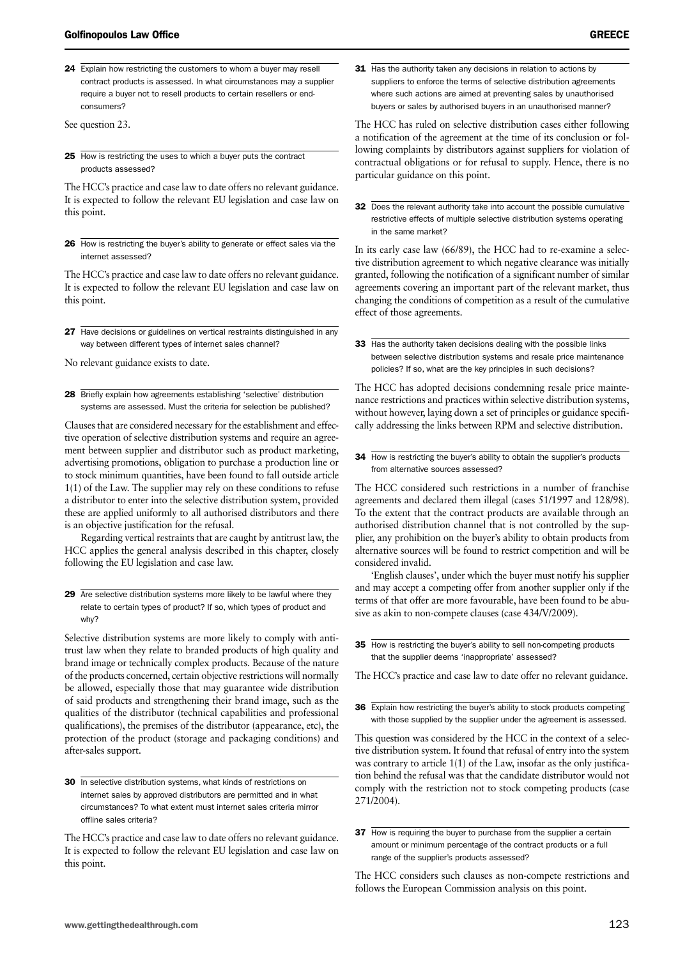24 Explain how restricting the customers to whom a buyer may resell contract products is assessed. In what circumstances may a supplier require a buyer not to resell products to certain resellers or endconsumers?

See question 23.

25 How is restricting the uses to which a buyer puts the contract products assessed?

The HCC's practice and case law to date offers no relevant guidance. It is expected to follow the relevant EU legislation and case law on this point.

26 How is restricting the buyer's ability to generate or effect sales via the internet assessed?

The HCC's practice and case law to date offers no relevant guidance. It is expected to follow the relevant EU legislation and case law on this point.

27 Have decisions or guidelines on vertical restraints distinguished in any way between different types of internet sales channel?

No relevant guidance exists to date.

28 Briefly explain how agreements establishing 'selective' distribution systems are assessed. Must the criteria for selection be published?

Clauses that are considered necessary for the establishment and effective operation of selective distribution systems and require an agreement between supplier and distributor such as product marketing, advertising promotions, obligation to purchase a production line or to stock minimum quantities, have been found to fall outside article 1(1) of the Law. The supplier may rely on these conditions to refuse a distributor to enter into the selective distribution system, provided these are applied uniformly to all authorised distributors and there is an objective justification for the refusal.

Regarding vertical restraints that are caught by antitrust law, the HCC applies the general analysis described in this chapter, closely following the EU legislation and case law.

29 Are selective distribution systems more likely to be lawful where they relate to certain types of product? If so, which types of product and why?

Selective distribution systems are more likely to comply with antitrust law when they relate to branded products of high quality and brand image or technically complex products. Because of the nature of the products concerned, certain objective restrictions will normally be allowed, especially those that may guarantee wide distribution of said products and strengthening their brand image, such as the qualities of the distributor (technical capabilities and professional qualifications), the premises of the distributor (appearance, etc), the protection of the product (storage and packaging conditions) and after-sales support.

30 In selective distribution systems, what kinds of restrictions on internet sales by approved distributors are permitted and in what circumstances? To what extent must internet sales criteria mirror offline sales criteria?

The HCC's practice and case law to date offers no relevant guidance. It is expected to follow the relevant EU legislation and case law on this point.

31 Has the authority taken any decisions in relation to actions by suppliers to enforce the terms of selective distribution agreements where such actions are aimed at preventing sales by unauthorised buyers or sales by authorised buyers in an unauthorised manner?

The HCC has ruled on selective distribution cases either following a notification of the agreement at the time of its conclusion or following complaints by distributors against suppliers for violation of contractual obligations or for refusal to supply. Hence, there is no particular guidance on this point.

32 Does the relevant authority take into account the possible cumulative restrictive effects of multiple selective distribution systems operating in the same market?

In its early case law (66/89), the HCC had to re-examine a selective distribution agreement to which negative clearance was initially granted, following the notification of a significant number of similar agreements covering an important part of the relevant market, thus changing the conditions of competition as a result of the cumulative effect of those agreements.

33 Has the authority taken decisions dealing with the possible links between selective distribution systems and resale price maintenance policies? If so, what are the key principles in such decisions?

The HCC has adopted decisions condemning resale price maintenance restrictions and practices within selective distribution systems, without however, laying down a set of principles or guidance specifically addressing the links between RPM and selective distribution.

34 How is restricting the buyer's ability to obtain the supplier's products from alternative sources assessed?

The HCC considered such restrictions in a number of franchise agreements and declared them illegal (cases 51/1997 and 128/98). To the extent that the contract products are available through an authorised distribution channel that is not controlled by the supplier, any prohibition on the buyer's ability to obtain products from alternative sources will be found to restrict competition and will be considered invalid.

'English clauses', under which the buyer must notify his supplier and may accept a competing offer from another supplier only if the terms of that offer are more favourable, have been found to be abusive as akin to non-compete clauses (case 434/V/2009).

35 How is restricting the buyer's ability to sell non-competing products that the supplier deems 'inappropriate' assessed?

The HCC's practice and case law to date offer no relevant guidance.

36 Explain how restricting the buyer's ability to stock products competing with those supplied by the supplier under the agreement is assessed.

This question was considered by the HCC in the context of a selective distribution system. It found that refusal of entry into the system was contrary to article 1(1) of the Law, insofar as the only justification behind the refusal was that the candidate distributor would not comply with the restriction not to stock competing products (case 271/2004).

37 How is requiring the buyer to purchase from the supplier a certain amount or minimum percentage of the contract products or a full range of the supplier's products assessed?

The HCC considers such clauses as non-compete restrictions and follows the European Commission analysis on this point.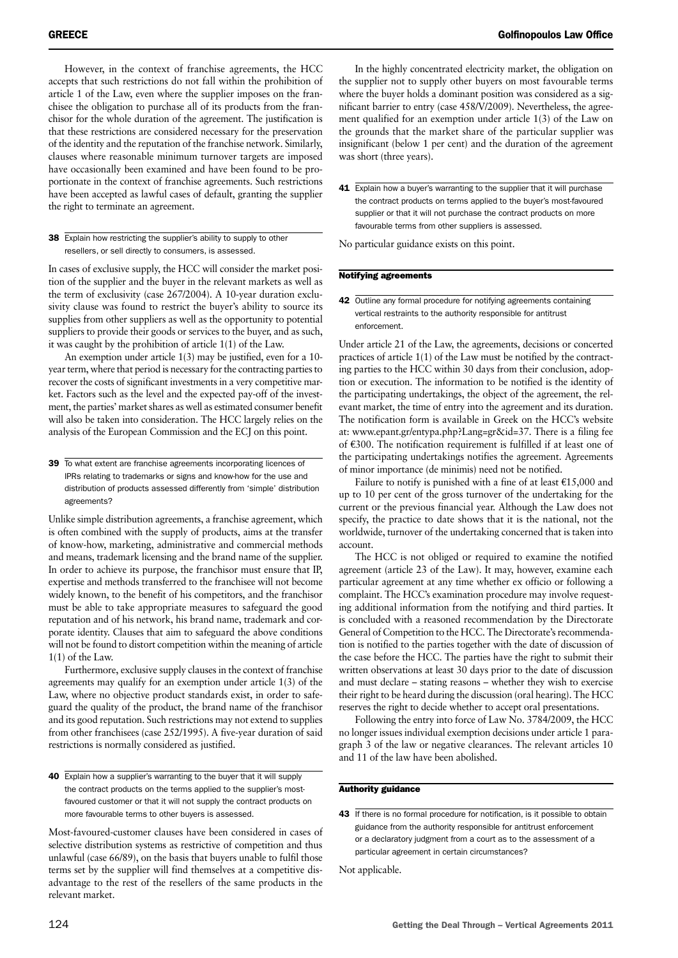However, in the context of franchise agreements, the HCC accepts that such restrictions do not fall within the prohibition of article 1 of the Law, even where the supplier imposes on the franchisee the obligation to purchase all of its products from the franchisor for the whole duration of the agreement. The justification is that these restrictions are considered necessary for the preservation of the identity and the reputation of the franchise network. Similarly, clauses where reasonable minimum turnover targets are imposed have occasionally been examined and have been found to be proportionate in the context of franchise agreements. Such restrictions have been accepted as lawful cases of default, granting the supplier the right to terminate an agreement.

#### 38 Explain how restricting the supplier's ability to supply to other resellers, or sell directly to consumers, is assessed.

In cases of exclusive supply, the HCC will consider the market position of the supplier and the buyer in the relevant markets as well as the term of exclusivity (case 267/2004). A 10-year duration exclusivity clause was found to restrict the buyer's ability to source its supplies from other suppliers as well as the opportunity to potential suppliers to provide their goods or services to the buyer, and as such, it was caught by the prohibition of article 1(1) of the Law.

An exemption under article 1(3) may be justified, even for a 10 year term, where that period is necessary for the contracting parties to recover the costs of significant investments in a very competitive market. Factors such as the level and the expected pay-off of the investment, the parties' market shares as well as estimated consumer benefit will also be taken into consideration. The HCC largely relies on the analysis of the European Commission and the ECJ on this point.

39 To what extent are franchise agreements incorporating licences of IPRs relating to trademarks or signs and know-how for the use and distribution of products assessed differently from 'simple' distribution agreements?

Unlike simple distribution agreements, a franchise agreement, which is often combined with the supply of products, aims at the transfer of know-how, marketing, administrative and commercial methods and means, trademark licensing and the brand name of the supplier. In order to achieve its purpose, the franchisor must ensure that IP, expertise and methods transferred to the franchisee will not become widely known, to the benefit of his competitors, and the franchisor must be able to take appropriate measures to safeguard the good reputation and of his network, his brand name, trademark and corporate identity. Clauses that aim to safeguard the above conditions will not be found to distort competition within the meaning of article 1(1) of the Law.

Furthermore, exclusive supply clauses in the context of franchise agreements may qualify for an exemption under article 1(3) of the Law, where no objective product standards exist, in order to safeguard the quality of the product, the brand name of the franchisor and its good reputation. Such restrictions may not extend to supplies from other franchisees (case 252/1995). A five-year duration of said restrictions is normally considered as justified.

Most-favoured-customer clauses have been considered in cases of selective distribution systems as restrictive of competition and thus unlawful (case 66/89), on the basis that buyers unable to fulfil those terms set by the supplier will find themselves at a competitive disadvantage to the rest of the resellers of the same products in the relevant market.

In the highly concentrated electricity market, the obligation on the supplier not to supply other buyers on most favourable terms where the buyer holds a dominant position was considered as a significant barrier to entry (case 458/V/2009). Nevertheless, the agreement qualified for an exemption under article 1(3) of the Law on the grounds that the market share of the particular supplier was insignificant (below 1 per cent) and the duration of the agreement was short (three years).

41 Explain how a buyer's warranting to the supplier that it will purchase the contract products on terms applied to the buyer's most-favoured supplier or that it will not purchase the contract products on more favourable terms from other suppliers is assessed.

No particular guidance exists on this point.

#### Notifying agreements

42 Outline any formal procedure for notifying agreements containing vertical restraints to the authority responsible for antitrust enforcement.

Under article 21 of the Law, the agreements, decisions or concerted practices of article 1(1) of the Law must be notified by the contracting parties to the HCC within 30 days from their conclusion, adoption or execution. The information to be notified is the identity of the participating undertakings, the object of the agreement, the relevant market, the time of entry into the agreement and its duration. The notification form is available in Greek on the HCC's website at: www.epant.gr/entypa.php?Lang=gr&id=37. There is a filing fee of e300. The notification requirement is fulfilled if at least one of the participating undertakings notifies the agreement. Agreements of minor importance (de minimis) need not be notified.

Failure to notify is punished with a fine of at least  $£15,000$  and up to 10 per cent of the gross turnover of the undertaking for the current or the previous financial year. Although the Law does not specify, the practice to date shows that it is the national, not the worldwide, turnover of the undertaking concerned that is taken into account.

The HCC is not obliged or required to examine the notified agreement (article 23 of the Law). It may, however, examine each particular agreement at any time whether ex officio or following a complaint. The HCC's examination procedure may involve requesting additional information from the notifying and third parties. It is concluded with a reasoned recommendation by the Directorate General of Competition to the HCC. The Directorate's recommendation is notified to the parties together with the date of discussion of the case before the HCC. The parties have the right to submit their written observations at least 30 days prior to the date of discussion and must declare – stating reasons – whether they wish to exercise their right to be heard during the discussion (oral hearing). The HCC reserves the right to decide whether to accept oral presentations.

Following the entry into force of Law No. 3784/2009, the HCC no longer issues individual exemption decisions under article 1 paragraph 3 of the law or negative clearances. The relevant articles 10 and 11 of the law have been abolished.

#### Authority guidance

Not applicable.

<sup>40</sup> Explain how a supplier's warranting to the buyer that it will supply the contract products on the terms applied to the supplier's mostfavoured customer or that it will not supply the contract products on more favourable terms to other buyers is assessed.

<sup>43</sup> If there is no formal procedure for notification, is it possible to obtain guidance from the authority responsible for antitrust enforcement or a declaratory judgment from a court as to the assessment of a particular agreement in certain circumstances?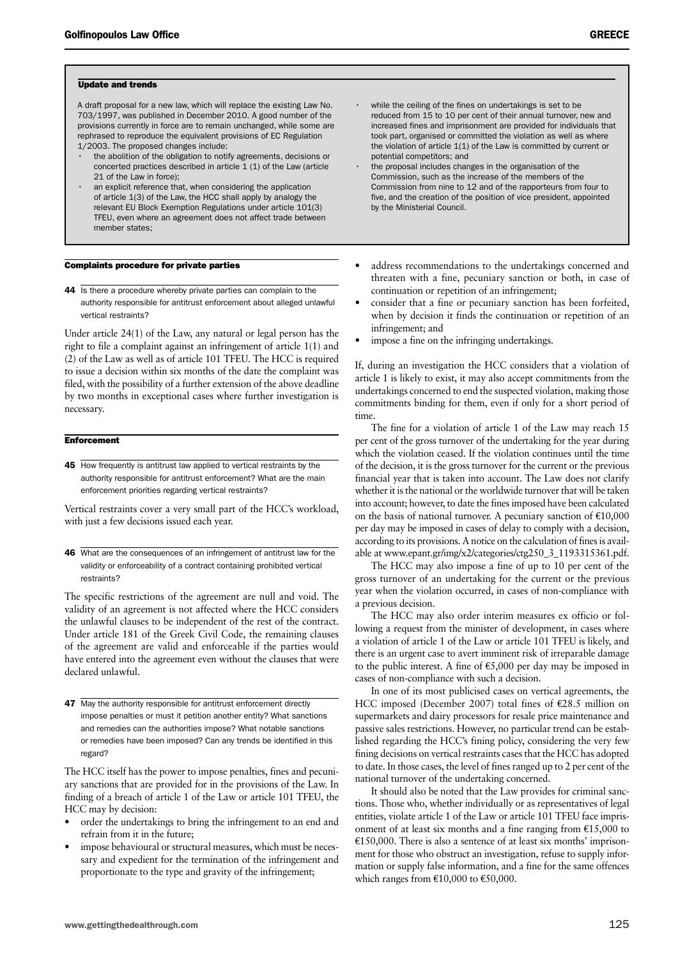#### Update and trends

A draft proposal for a new law, which will replace the existing Law No. 703/1997, was published in December 2010. A good number of the provisions currently in force are to remain unchanged, while some are rephrased to reproduce the equivalent provisions of EC Regulation 1/2003. The proposed changes include:

- the abolition of the obligation to notify agreements, decisions or concerted practices described in article 1 (1) of the Law (article 21 of the Law in force);
- an explicit reference that, when considering the application of article 1(3) of the Law, the HCC shall apply by analogy the relevant EU Block Exemption Regulations under article 101(3) TFEU, even where an agreement does not affect trade between member states;

#### Complaints procedure for private parties

44 Is there a procedure whereby private parties can complain to the authority responsible for antitrust enforcement about alleged unlawful vertical restraints?

Under article 24(1) of the Law, any natural or legal person has the right to file a complaint against an infringement of article 1(1) and (2) of the Law as well as of article 101 TFEU. The HCC is required to issue a decision within six months of the date the complaint was filed, with the possibility of a further extension of the above deadline by two months in exceptional cases where further investigation is necessary.

#### **Enforcement**

45 How frequently is antitrust law applied to vertical restraints by the authority responsible for antitrust enforcement? What are the main enforcement priorities regarding vertical restraints?

Vertical restraints cover a very small part of the HCC's workload, with just a few decisions issued each year.

46 What are the consequences of an infringement of antitrust law for the validity or enforceability of a contract containing prohibited vertical restraints?

The specific restrictions of the agreement are null and void. The validity of an agreement is not affected where the HCC considers the unlawful clauses to be independent of the rest of the contract. Under article 181 of the Greek Civil Code, the remaining clauses of the agreement are valid and enforceable if the parties would have entered into the agreement even without the clauses that were declared unlawful.

47 May the authority responsible for antitrust enforcement directly impose penalties or must it petition another entity? What sanctions and remedies can the authorities impose? What notable sanctions or remedies have been imposed? Can any trends be identified in this regard?

The HCC itself has the power to impose penalties, fines and pecuniary sanctions that are provided for in the provisions of the Law. In finding of a breach of article 1 of the Law or article 101 TFEU, the HCC may by decision:

- order the undertakings to bring the infringement to an end and refrain from it in the future;
- impose behavioural or structural measures, which must be necessary and expedient for the termination of the infringement and proportionate to the type and gravity of the infringement;
- the proposal includes changes in the organisation of the Commission, such as the increase of the members of the Commission from nine to 12 and of the rapporteurs from four to five, and the creation of the position of vice president, appointed by the Ministerial Council.
- address recommendations to the undertakings concerned and threaten with a fine, pecuniary sanction or both, in case of continuation or repetition of an infringement;
- consider that a fine or pecuniary sanction has been forfeited, when by decision it finds the continuation or repetition of an infringement; and
- impose a fine on the infringing undertakings.

If, during an investigation the HCC considers that a violation of article 1 is likely to exist, it may also accept commitments from the undertakings concerned to end the suspected violation, making those commitments binding for them, even if only for a short period of time.

The fine for a violation of article 1 of the Law may reach 15 per cent of the gross turnover of the undertaking for the year during which the violation ceased. If the violation continues until the time of the decision, it is the gross turnover for the current or the previous financial year that is taken into account. The Law does not clarify whether it is the national or the worldwide turnover that will be taken into account; however, to date the fines imposed have been calculated on the basis of national turnover. A pecuniary sanction of  $£10,000$ per day may be imposed in cases of delay to comply with a decision, according to its provisions. A notice on the calculation of fines is available at www.epant.gr/img/x2/categories/ctg250\_3\_1193315361.pdf.

The HCC may also impose a fine of up to 10 per cent of the gross turnover of an undertaking for the current or the previous year when the violation occurred, in cases of non-compliance with a previous decision.

The HCC may also order interim measures ex officio or following a request from the minister of development, in cases where a violation of article 1 of the Law or article 101 TFEU is likely, and there is an urgent case to avert imminent risk of irreparable damage to the public interest. A fine of  $\epsilon$ 5,000 per day may be imposed in cases of non-compliance with such a decision.

In one of its most publicised cases on vertical agreements, the HCC imposed (December 2007) total fines of  $\epsilon$ 28.5 million on supermarkets and dairy processors for resale price maintenance and passive sales restrictions. However, no particular trend can be established regarding the HCC's fining policy, considering the very few fining decisions on vertical restraints cases that the HCC has adopted to date. In those cases, the level of fines ranged up to 2 per cent of the national turnover of the undertaking concerned.

It should also be noted that the Law provides for criminal sanctions. Those who, whether individually or as representatives of legal entities, violate article 1 of the Law or article 101 TFEU face imprisonment of at least six months and a fine ranging from  $\epsilon$ 15,000 to  $E150,000$ . There is also a sentence of at least six months' imprisonment for those who obstruct an investigation, refuse to supply information or supply false information, and a fine for the same offences which ranges from  $£10,000$  to  $£50,000$ .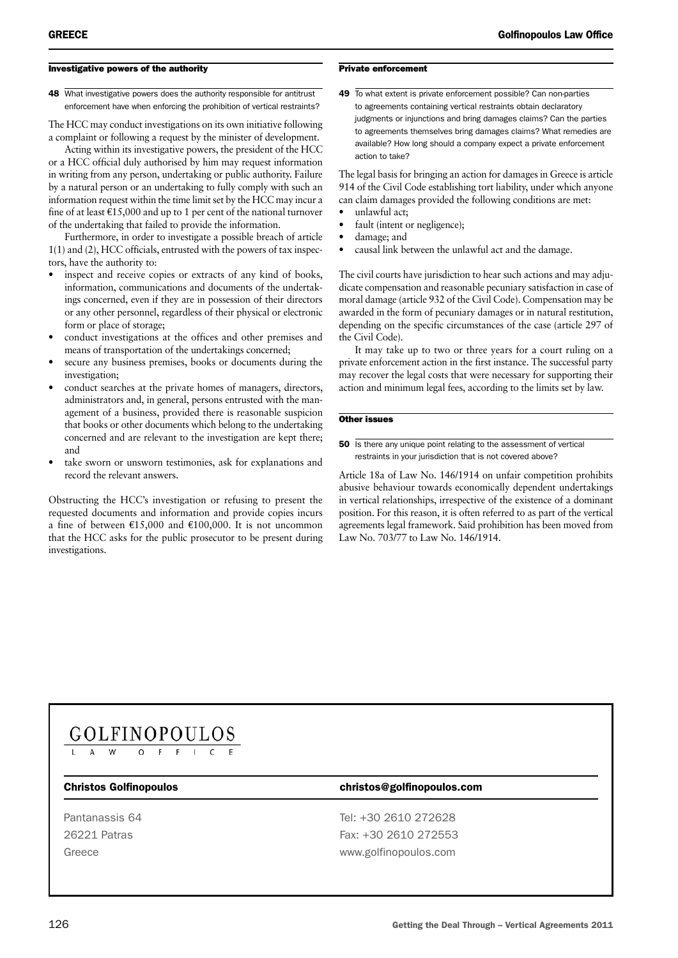#### Investigative powers of the authority

48 What investigative powers does the authority responsible for antitrust enforcement have when enforcing the prohibition of vertical restraints?

The HCC may conduct investigations on its own initiative following a complaint or following a request by the minister of development.

Acting within its investigative powers, the president of the HCC or a HCC official duly authorised by him may request information in writing from any person, undertaking or public authority. Failure by a natural person or an undertaking to fully comply with such an information request within the time limit set by the HCC may incur a fine of at least  $\text{\textsterling}15,000$  and up to 1 per cent of the national turnover of the undertaking that failed to provide the information.

Furthermore, in order to investigate a possible breach of article 1(1) and (2), HCC officials, entrusted with the powers of tax inspectors, have the authority to:

- inspect and receive copies or extracts of any kind of books, information, communications and documents of the undertakings concerned, even if they are in possession of their directors or any other personnel, regardless of their physical or electronic form or place of storage;
- conduct investigations at the offices and other premises and means of transportation of the undertakings concerned;
- secure any business premises, books or documents during the investigation;
- conduct searches at the private homes of managers, directors, administrators and, in general, persons entrusted with the management of a business, provided there is reasonable suspicion that books or other documents which belong to the undertaking concerned and are relevant to the investigation are kept there; and
- take sworn or unsworn testimonies, ask for explanations and record the relevant answers.

Obstructing the HCC's investigation or refusing to present the requested documents and information and provide copies incurs a fine of between  $\text{£}15,000$  and  $\text{£}100,000$ . It is not uncommon that the HCC asks for the public prosecutor to be present during investigations.

#### Private enforcement

49 To what extent is private enforcement possible? Can non-parties to agreements containing vertical restraints obtain declaratory judgments or injunctions and bring damages claims? Can the parties to agreements themselves bring damages claims? What remedies are available? How long should a company expect a private enforcement action to take?

The legal basis for bringing an action for damages in Greece is article 914 of the Civil Code establishing tort liability, under which anyone can claim damages provided the following conditions are met:

- unlawful act;
- fault (intent or negligence);
- damage; and
- causal link between the unlawful act and the damage.

The civil courts have jurisdiction to hear such actions and may adjudicate compensation and reasonable pecuniary satisfaction in case of moral damage (article 932 of the Civil Code). Compensation may be awarded in the form of pecuniary damages or in natural restitution, depending on the specific circumstances of the case (article 297 of the Civil Code).

It may take up to two or three years for a court ruling on a private enforcement action in the first instance. The successful party may recover the legal costs that were necessary for supporting their action and minimum legal fees, according to the limits set by law.

#### Other issues

#### **50** Is there any unique point relating to the assessment of vertical restraints in your jurisdiction that is not covered above?

Article 18a of Law No. 146/1914 on unfair competition prohibits abusive behaviour towards economically dependent undertakings in vertical relationships, irrespective of the existence of a dominant position. For this reason, it is often referred to as part of the vertical agreements legal framework. Said prohibition has been moved from Law No. 703/77 to Law No. 146/1914.

### $GOLFINOPOLLOS\n\n<sup>L</sup>\n\n<sup>M</sup>\n\n<sup>O</sup>\n\n<sup>F</sup>\n\n<sup>F</sup>\n\n<sup>C</sup>\n\n<sup>E</sup>\n$ </u>

#### Christos Golfinopoulos christos@golfinopoulos.com

Pantanassis 64 Tel: +30 2610 272628 26221 Patras Fax: +30 2610 272553 Greece www.golfinopoulos.com